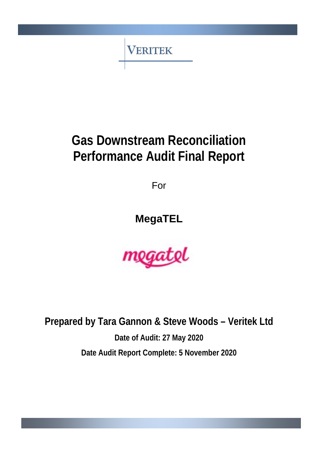**VERITEK** 

# **Gas Downstream Reconciliation Performance Audit Final Report**

For

**MegaTEL**



**Prepared by Tara Gannon & Steve Woods – Veritek Ltd Date of Audit: 27 May 2020 Date Audit Report Complete: 5 November 2020**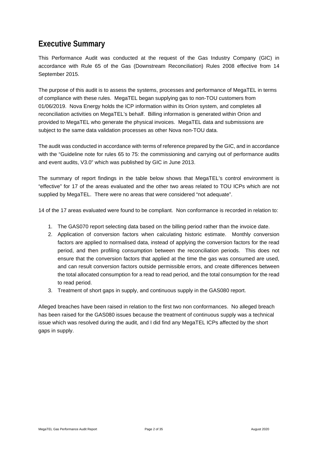### <span id="page-1-0"></span>**Executive Summary**

This Performance Audit was conducted at the request of the Gas Industry Company (GIC) in accordance with Rule 65 of the Gas (Downstream Reconciliation) Rules 2008 effective from 14 September 2015.

The purpose of this audit is to assess the systems, processes and performance of MegaTEL in terms of compliance with these rules. MegaTEL began supplying gas to non-TOU customers from 01/06/2019. Nova Energy holds the ICP information within its Orion system, and completes all reconciliation activities on MegaTEL's behalf. Billing information is generated within Orion and provided to MegaTEL who generate the physical invoices. MegaTEL data and submissions are subject to the same data validation processes as other Nova non-TOU data.

The audit was conducted in accordance with terms of reference prepared by the GIC, and in accordance with the "Guideline note for rules 65 to 75: the commissioning and carrying out of performance audits and event audits, V3.0" which was published by GIC in June 2013.

The summary of report findings in the table below shows that MegaTEL's control environment is "effective" for 17 of the areas evaluated and the other two areas related to TOU ICPs which are not supplied by MegaTEL. There were no areas that were considered "not adequate".

14 of the 17 areas evaluated were found to be compliant. Non conformance is recorded in relation to:

- 1. The GAS070 report selecting data based on the billing period rather than the invoice date.
- 2. Application of conversion factors when calculating historic estimate. Monthly conversion factors are applied to normalised data, instead of applying the conversion factors for the read period, and then profiling consumption between the reconciliation periods. This does not ensure that the conversion factors that applied at the time the gas was consumed are used, and can result conversion factors outside permissible errors, and create differences between the total allocated consumption for a read to read period, and the total consumption for the read to read period.
- 3. Treatment of short gaps in supply, and continuous supply in the GAS080 report.

Alleged breaches have been raised in relation to the first two non conformances. No alleged breach has been raised for the GAS080 issues because the treatment of continuous supply was a technical issue which was resolved during the audit, and I did find any MegaTEL ICPs affected by the short gaps in supply.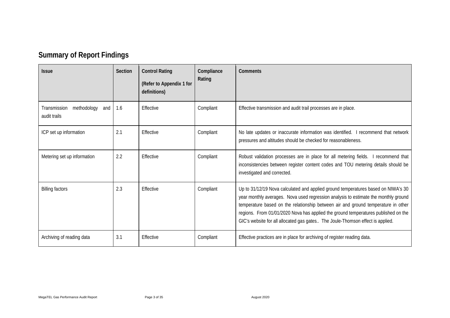# **Summary of Report Findings**

<span id="page-2-0"></span>

| <b>Issue</b>                                       | Section | <b>Control Rating</b><br>(Refer to Appendix 1 for<br>definitions) | Compliance<br>Rating | <b>Comments</b>                                                                                                                                                                                                                                                                                                                                                                                                                       |
|----------------------------------------------------|---------|-------------------------------------------------------------------|----------------------|---------------------------------------------------------------------------------------------------------------------------------------------------------------------------------------------------------------------------------------------------------------------------------------------------------------------------------------------------------------------------------------------------------------------------------------|
| Transmission<br>methodology<br>and<br>audit trails | 1.6     | Effective                                                         | Compliant            | Effective transmission and audit trail processes are in place.                                                                                                                                                                                                                                                                                                                                                                        |
| ICP set up information                             | 2.1     | Effective                                                         | Compliant            | No late updates or inaccurate information was identified. I recommend that network<br>pressures and altitudes should be checked for reasonableness.                                                                                                                                                                                                                                                                                   |
| Metering set up information                        | 2.2     | Effective                                                         | Compliant            | Robust validation processes are in place for all metering fields. I recommend that<br>inconsistencies between register content codes and TOU metering details should be<br>investigated and corrected.                                                                                                                                                                                                                                |
| <b>Billing factors</b>                             | 2.3     | Effective                                                         | Compliant            | Up to 31/12/19 Nova calculated and applied ground temperatures based on NIWA's 30<br>year monthly averages. Nova used regression analysis to estimate the monthly ground<br>temperature based on the relationship between air and ground temperature in other<br>regions. From 01/01/2020 Nova has applied the ground temperatures published on the<br>GIC's website for all allocated gas gates The Joule-Thomson effect is applied. |
| Archiving of reading data                          | 3.1     | Effective                                                         | Compliant            | Effective practices are in place for archiving of register reading data.                                                                                                                                                                                                                                                                                                                                                              |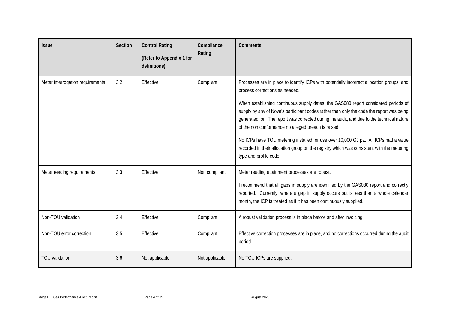| <b>Issue</b>                     | Section | <b>Control Rating</b><br>(Refer to Appendix 1 for<br>definitions) | Compliance<br>Rating | <b>Comments</b>                                                                                                                                                                                                                                                                                                                                                                                                                                                                                                                                                                                                                                                                 |
|----------------------------------|---------|-------------------------------------------------------------------|----------------------|---------------------------------------------------------------------------------------------------------------------------------------------------------------------------------------------------------------------------------------------------------------------------------------------------------------------------------------------------------------------------------------------------------------------------------------------------------------------------------------------------------------------------------------------------------------------------------------------------------------------------------------------------------------------------------|
| Meter interrogation requirements | 3.2     | Effective                                                         | Compliant            | Processes are in place to identify ICPs with potentially incorrect allocation groups, and<br>process corrections as needed.<br>When establishing continuous supply dates, the GAS080 report considered periods of<br>supply by any of Nova's participant codes rather than only the code the report was being<br>generated for. The report was corrected during the audit, and due to the technical nature<br>of the non conformance no alleged breach is raised.<br>No ICPs have TOU metering installed, or use over 10,000 GJ pa. All ICPs had a value<br>recorded in their allocation group on the registry which was consistent with the metering<br>type and profile code. |
| Meter reading requirements       | 3.3     | Effective                                                         | Non compliant        | Meter reading attainment processes are robust.<br>I recommend that all gaps in supply are identified by the GAS080 report and correctly<br>reported. Currently, where a gap in supply occurs but is less than a whole calendar<br>month, the ICP is treated as if it has been continuously supplied.                                                                                                                                                                                                                                                                                                                                                                            |
| Non-TOU validation               | 3.4     | Effective                                                         | Compliant            | A robust validation process is in place before and after invoicing.                                                                                                                                                                                                                                                                                                                                                                                                                                                                                                                                                                                                             |
| Non-TOU error correction         | 3.5     | Effective                                                         | Compliant            | Effective correction processes are in place, and no corrections occurred during the audit<br>period.                                                                                                                                                                                                                                                                                                                                                                                                                                                                                                                                                                            |
| <b>TOU</b> validation            | 3.6     | Not applicable                                                    | Not applicable       | No TOU ICPs are supplied.                                                                                                                                                                                                                                                                                                                                                                                                                                                                                                                                                                                                                                                       |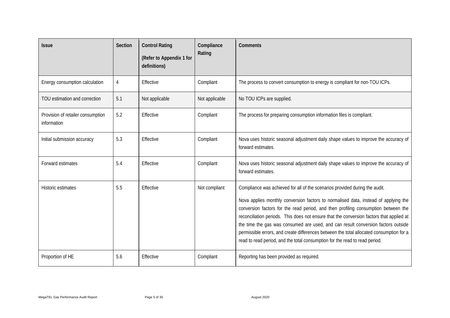| <b>Issue</b>                                     | Section | <b>Control Rating</b><br>(Refer to Appendix 1 for<br>definitions) | Compliance<br>Rating | <b>Comments</b>                                                                                                                                                                                                                                                                                                                                                                                                                                                                                                                                                                                                      |  |
|--------------------------------------------------|---------|-------------------------------------------------------------------|----------------------|----------------------------------------------------------------------------------------------------------------------------------------------------------------------------------------------------------------------------------------------------------------------------------------------------------------------------------------------------------------------------------------------------------------------------------------------------------------------------------------------------------------------------------------------------------------------------------------------------------------------|--|
| Energy consumption calculation                   | 4       | Effective                                                         | Compliant            | The process to convert consumption to energy is compliant for non-TOU ICPs.                                                                                                                                                                                                                                                                                                                                                                                                                                                                                                                                          |  |
| TOU estimation and correction                    | 5.1     | Not applicable                                                    | Not applicable       | No TOU ICPs are supplied.                                                                                                                                                                                                                                                                                                                                                                                                                                                                                                                                                                                            |  |
| Provision of retailer consumption<br>information | 5.2     | Effective                                                         | Compliant            | The process for preparing consumption information files is compliant.                                                                                                                                                                                                                                                                                                                                                                                                                                                                                                                                                |  |
| Initial submission accuracy                      | 5.3     | Effective                                                         | Compliant            | Nova uses historic seasonal adjustment daily shape values to improve the accuracy of<br>forward estimates.                                                                                                                                                                                                                                                                                                                                                                                                                                                                                                           |  |
| Forward estimates                                | 5.4     | Effective                                                         | Compliant            | Nova uses historic seasonal adjustment daily shape values to improve the accuracy of<br>forward estimates.                                                                                                                                                                                                                                                                                                                                                                                                                                                                                                           |  |
| Historic estimates                               | 5.5     | Effective                                                         | Not compliant        | Compliance was achieved for all of the scenarios provided during the audit.<br>Nova applies monthly conversion factors to normalised data, instead of applying the<br>conversion factors for the read period, and then profiling consumption between the<br>reconciliation periods. This does not ensure that the conversion factors that applied at<br>the time the gas was consumed are used, and can result conversion factors outside<br>permissible errors, and create differences between the total allocated consumption for a<br>read to read period, and the total consumption for the read to read period. |  |
| Proportion of HE                                 | 5.6     | Effective                                                         | Compliant            | Reporting has been provided as required.                                                                                                                                                                                                                                                                                                                                                                                                                                                                                                                                                                             |  |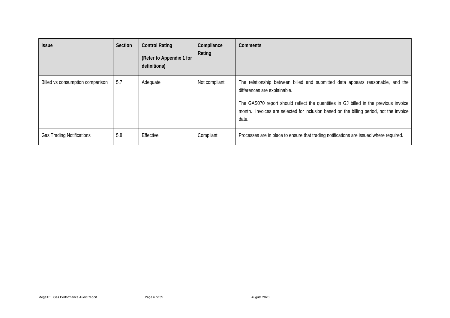| <b>Issue</b>                     | <b>Section</b> | <b>Control Rating</b><br>(Refer to Appendix 1 for<br>definitions) | Compliance<br>Rating | Comments                                                                                                                                                                                                                                                                                                   |
|----------------------------------|----------------|-------------------------------------------------------------------|----------------------|------------------------------------------------------------------------------------------------------------------------------------------------------------------------------------------------------------------------------------------------------------------------------------------------------------|
| Billed vs consumption comparison | 5.7            | Adequate                                                          | Not compliant        | The relationship between billed and submitted data appears reasonable, and the<br>differences are explainable.<br>The GAS070 report should reflect the quantities in GJ billed in the previous invoice<br>month. Invoices are selected for inclusion based on the billing period, not the invoice<br>date. |
| <b>Gas Trading Notifications</b> | 5.8            | Effective                                                         | Compliant            | Processes are in place to ensure that trading notifications are issued where required.                                                                                                                                                                                                                     |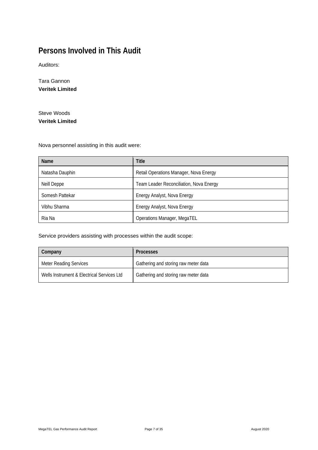# <span id="page-6-0"></span>**Persons Involved in This Audit**

Auditors:

Tara Gannon **Veritek Limited**

Steve Woods **Veritek Limited**

Nova personnel assisting in this audit were:

| Name            | <b>Title</b>                            |
|-----------------|-----------------------------------------|
| Natasha Dauphin | Retail Operations Manager, Nova Energy  |
| Neill Deppe     | Team Leader Reconciliation, Nova Energy |
| Somesh Pattekar | Energy Analyst, Nova Energy             |
| Vibhu Sharma    | Energy Analyst, Nova Energy             |
| Ria Na          | Operations Manager, MegaTEL             |

Service providers assisting with processes within the audit scope:

| Company                                    | <b>Processes</b>                     |
|--------------------------------------------|--------------------------------------|
| <b>Meter Reading Services</b>              | Gathering and storing raw meter data |
| Wells Instrument & Electrical Services Ltd | Gathering and storing raw meter data |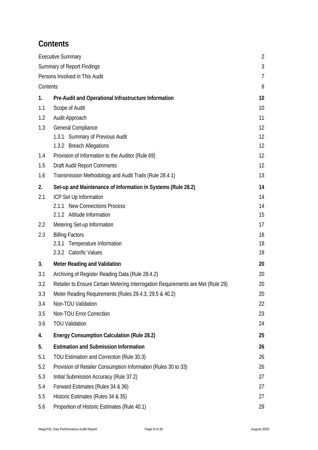# <span id="page-7-0"></span>**Contents**

|          | <b>Executive Summary</b>                                                         | $\overline{2}$ |
|----------|----------------------------------------------------------------------------------|----------------|
|          | <b>Summary of Report Findings</b>                                                | 3              |
|          | Persons Involved in This Audit                                                   | $\overline{7}$ |
| Contents |                                                                                  | 8              |
| 1.       | Pre-Audit and Operational Infrastructure Information                             | 10             |
| 1.1      | Scope of Audit                                                                   | 10             |
| 1.2      | Audit Approach                                                                   | 11             |
| 1.3      | General Compliance                                                               | 12             |
|          | 1.3.1 Summary of Previous Audit                                                  | 12             |
|          | 1.3.2 Breach Allegations                                                         | 12             |
| 1.4      | Provision of Information to the Auditor (Rule 69)                                | 12             |
| 1.5      | <b>Draft Audit Report Comments</b>                                               | 12             |
| 1.6      | Transmission Methodology and Audit Trails (Rule 28.4.1)                          | 13             |
| 2.       | Set-up and Maintenance of Information in Systems (Rule 28.2)                     | 14             |
| 2.1      | ICP Set Up Information                                                           | 14             |
|          | 2.1.1 New Connections Process                                                    | 14             |
|          | 2.1.2 Altitude Information                                                       | 15             |
| 2.2      | Metering Set-up Information                                                      | 17             |
| 2.3      | <b>Billing Factors</b>                                                           | 18             |
|          | Temperature Information<br>2.3.1                                                 | 18             |
|          | 2.3.2 Calorific Values                                                           | 19             |
| 3.       | <b>Meter Reading and Validation</b>                                              | 20             |
| 3.1      | Archiving of Register Reading Data (Rule 28.4.2)                                 | 20             |
| 3.2      | Retailer to Ensure Certain Metering Interrogation Requirements are Met (Rule 29) | 20             |
| 3.3      | Meter Reading Requirements (Rules 29.4.3, 29.5 & 40.2)                           | 20             |
| 3.4      | Non-TOU Validation                                                               | 22             |
| 3.5      | Non-TOU Error Correction                                                         | 23             |
| 3.6      | <b>TOU Validation</b>                                                            | 24             |
| 4.       | <b>Energy Consumption Calculation (Rule 28.2)</b>                                | 25             |
| 5.       | <b>Estimation and Submission Information</b>                                     | 26             |
| 5.1      | TOU Estimation and Correction (Rule 30.3)                                        | 26             |
| 5.2      | Provision of Retailer Consumption Information (Rules 30 to 33)                   | 26             |
| 5.3      | Initial Submission Accuracy (Rule 37.2)                                          | 27             |
| 5.4      | Forward Estimates (Rules 34 & 36)                                                | 27             |
| 5.5      | Historic Estimates (Rules 34 & 35)                                               | 27             |
| 5.6      | Proportion of Historic Estimates (Rule 40.1)                                     | 29             |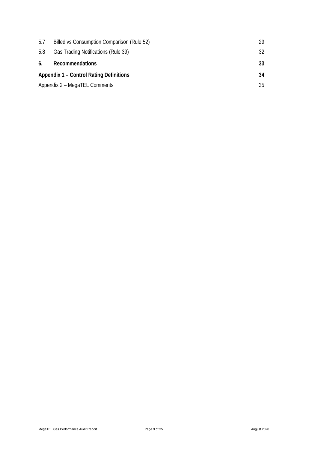| 5.7                                            | Billed vs Consumption Comparison (Rule 52) | 29 |
|------------------------------------------------|--------------------------------------------|----|
| 5.8                                            | Gas Trading Notifications (Rule 39)        | 32 |
| 6.                                             | Recommendations                            | 33 |
| <b>Appendix 1 – Control Rating Definitions</b> |                                            | 34 |
|                                                | Appendix 2 - MegaTEL Comments              | 35 |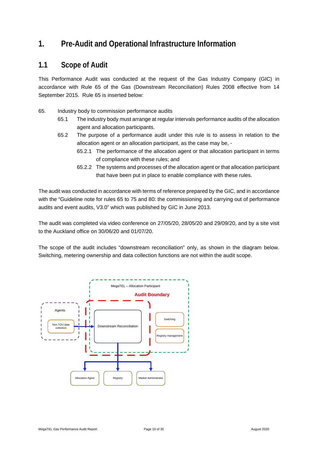### <span id="page-9-0"></span>**1. Pre-Audit and Operational Infrastructure Information**

#### <span id="page-9-1"></span>**1.1 Scope of Audit**

This Performance Audit was conducted at the request of the Gas Industry Company (GIC) in accordance with Rule 65 of the Gas (Downstream Reconciliation) Rules 2008 effective from 14 September 2015. Rule 65 is inserted below:

- 65. Industry body to commission performance audits
	- 65.1 The industry body must arrange at regular intervals performance audits of the allocation agent and allocation participants.
	- 65.2 The purpose of a performance audit under this rule is to assess in relation to the allocation agent or an allocation participant, as the case may be, -
		- 65.2.1 The performance of the allocation agent or that allocation participant in terms of compliance with these rules; and
		- 65.2.2 The systems and processes of the allocation agent or that allocation participant that have been put in place to enable compliance with these rules.

The audit was conducted in accordance with terms of reference prepared by the GIC, and in accordance with the "Guideline note for rules 65 to 75 and 80: the commissioning and carrying out of performance audits and event audits, V3.0" which was published by GIC in June 2013.

The audit was completed via video conference on 27/05/20, 28/05/20 and 29/09/20, and by a site visit to the Auckland office on 30/06/20 and 01/07/20.

The scope of the audit includes "downstream reconciliation" only, as shown in the diagram below. Switching, metering ownership and data collection functions are not within the audit scope.

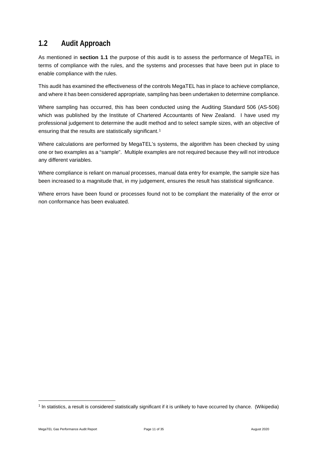### <span id="page-10-0"></span>**1.2 Audit Approach**

As mentioned in **section 1.1** the purpose of this audit is to assess the performance of MegaTEL in terms of compliance with the rules, and the systems and processes that have been put in place to enable compliance with the rules.

This audit has examined the effectiveness of the controls MegaTEL has in place to achieve compliance, and where it has been considered appropriate, sampling has been undertaken to determine compliance.

Where sampling has occurred, this has been conducted using the Auditing Standard 506 (AS-506) which was published by the Institute of Chartered Accountants of New Zealand. I have used my professional judgement to determine the audit method and to select sample sizes, with an objective of ensuring that the results are statistically significant.<sup>[1](#page-10-1)</sup>

Where calculations are performed by MegaTEL's systems, the algorithm has been checked by using one or two examples as a "sample". Multiple examples are not required because they will not introduce any different variables.

Where compliance is reliant on manual processes, manual data entry for example, the sample size has been increased to a magnitude that, in my judgement, ensures the result has statistical significance.

Where errors have been found or processes found not to be compliant the materiality of the error or non conformance has been evaluated.

<span id="page-10-1"></span><sup>1</sup> In statistics, a result is considered statistically significant if it is unlikely to have occurred by chance. (Wikipedia)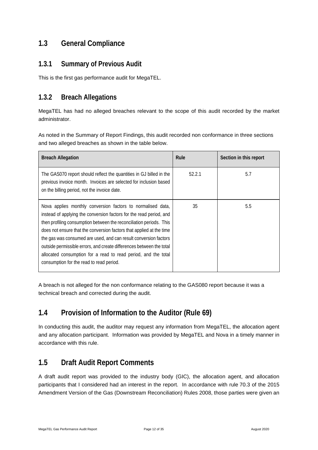#### <span id="page-11-0"></span>**1.3 General Compliance**

#### <span id="page-11-1"></span>**1.3.1 Summary of Previous Audit**

This is the first gas performance audit for MegaTEL.

#### <span id="page-11-2"></span>**1.3.2 Breach Allegations**

MegaTEL has had no alleged breaches relevant to the scope of this audit recorded by the market administrator.

As noted in the Summary of Report Findings, this audit recorded non conformance in three sections and two alleged breaches as shown in the table below.

| <b>Breach Allegation</b>                                                                                                                                                                                                                                                                                                                                                                                                                                                                                                                    | Rule   | Section in this report |
|---------------------------------------------------------------------------------------------------------------------------------------------------------------------------------------------------------------------------------------------------------------------------------------------------------------------------------------------------------------------------------------------------------------------------------------------------------------------------------------------------------------------------------------------|--------|------------------------|
| The GAS070 report should reflect the quantities in GJ billed in the<br>previous invoice month. Invoices are selected for inclusion based<br>on the billing period, not the invoice date.                                                                                                                                                                                                                                                                                                                                                    | 52.2.1 | 5.7                    |
| Nova applies monthly conversion factors to normalised data,<br>instead of applying the conversion factors for the read period, and<br>then profiling consumption between the reconciliation periods. This<br>does not ensure that the conversion factors that applied at the time<br>the gas was consumed are used, and can result conversion factors<br>outside permissible errors, and create differences between the total<br>allocated consumption for a read to read period, and the total<br>consumption for the read to read period. | 35     | 5.5                    |

A breach is not alleged for the non conformance relating to the GAS080 report because it was a technical breach and corrected during the audit.

#### <span id="page-11-3"></span>**1.4 Provision of Information to the Auditor (Rule 69)**

In conducting this audit, the auditor may request any information from MegaTEL, the allocation agent and any allocation participant. Information was provided by MegaTEL and Nova in a timely manner in accordance with this rule.

# <span id="page-11-4"></span>**1.5 Draft Audit Report Comments**

A draft audit report was provided to the industry body (GIC), the allocation agent, and allocation participants that I considered had an interest in the report. In accordance with rule 70.3 of the 2015 Amendment Version of the Gas (Downstream Reconciliation) Rules 2008, those parties were given an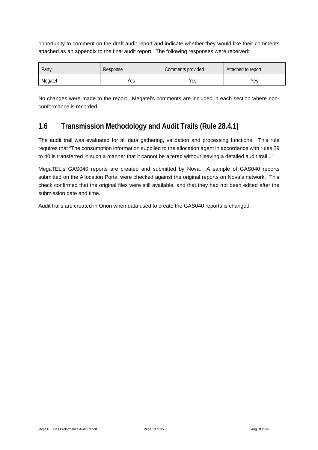opportunity to comment on the draft audit report and indicate whether they would like their comments attached as an appendix to the final audit report. The following responses were received:

| Party   | Response | Comments provided | Attached to report |
|---------|----------|-------------------|--------------------|
| Megatel | Yes      | Yes               | Yes                |

No changes were made to the report. Megatel's comments are included in each section where nonconformance is recorded.

#### <span id="page-12-0"></span>**1.6 Transmission Methodology and Audit Trails (Rule 28.4.1)**

The audit trail was evaluated for all data gathering, validation and processing functions. This rule requires that "The consumption information supplied to the allocation agent in accordance with rules 29 to 40 is transferred in such a manner that it cannot be altered without leaving a detailed audit trail..."

MegaTEL's GAS040 reports are created and submitted by Nova. A sample of GAS040 reports submitted on the Allocation Portal were checked against the original reports on Nova's network. This check confirmed that the original files were still available, and that they had not been edited after the submission date and time.

Audit trails are created in Orion when data used to create the GAS040 reports is changed.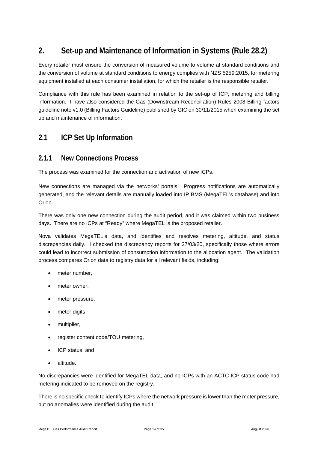# <span id="page-13-0"></span>**2. Set-up and Maintenance of Information in Systems (Rule 28.2)**

Every retailer must ensure the conversion of measured volume to volume at standard conditions and the conversion of volume at standard conditions to energy complies with NZS 5259:2015, for metering equipment installed at each consumer installation, for which the retailer is the responsible retailer.

Compliance with this rule has been examined in relation to the set-up of ICP, metering and billing information. I have also considered the Gas (Downstream Reconciliation) Rules 2008 Billing factors guideline note v1.0 (Billing Factors Guideline) published by GIC on 30/11/2015 when examining the set up and maintenance of information.

#### <span id="page-13-1"></span>**2.1 ICP Set Up Information**

#### <span id="page-13-2"></span>**2.1.1 New Connections Process**

The process was examined for the connection and activation of new ICPs.

New connections are managed via the networks' portals. Progress notifications are automatically generated, and the relevant details are manually loaded into IP BMS (MegaTEL's database) and into Orion.

There was only one new connection during the audit period, and it was claimed within two business days. There are no ICPs at "Ready" where MegaTEL is the proposed retailer.

Nova validates MegaTEL's data, and identifies and resolves metering, altitude, and status discrepancies daily. I checked the discrepancy reports for 27/03/20, specifically those where errors could lead to incorrect submission of consumption information to the allocation agent. The validation process compares Orion data to registry data for all relevant fields, including:

- meter number.
- meter owner.
- meter pressure,
- meter digits,
- multiplier.
- register content code/TOU metering,
- ICP status, and
- altitude.

No discrepancies were identified for MegaTEL data, and no ICPs with an ACTC ICP status code had metering indicated to be removed on the registry.

There is no specific check to identify ICPs where the network pressure is lower than the meter pressure, but no anomalies were identified during the audit.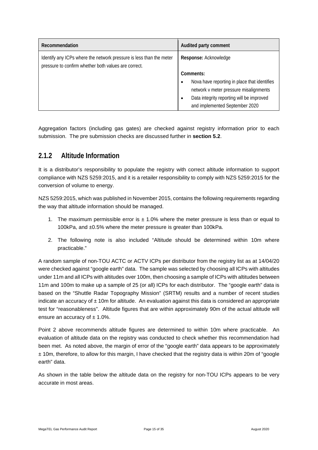| Recommendation                                                                                                              | Audited party comment                        |  |
|-----------------------------------------------------------------------------------------------------------------------------|----------------------------------------------|--|
| Identify any ICPs where the network pressure is less than the meter<br>pressure to confirm whether both values are correct. | Response: Acknowledge                        |  |
|                                                                                                                             | Comments:                                    |  |
|                                                                                                                             | Nova have reporting in place that identifies |  |
|                                                                                                                             | network v meter pressure misalignments       |  |
|                                                                                                                             | Data integrity reporting will be improved    |  |
|                                                                                                                             | and implemented September 2020               |  |

Aggregation factors (including gas gates) are checked against registry information prior to each submission. The pre submission checks are discussed further in **section 5.2**.

#### <span id="page-14-0"></span>**2.1.2 Altitude Information**

It is a distributor's responsibility to populate the registry with correct altitude information to support compliance with NZS 5259:2015, and it is a retailer responsibility to comply with NZS 5259:2015 for the conversion of volume to energy.

NZS 5259:2015, which was published in November 2015, contains the following requirements regarding the way that altitude information should be managed.

- 1. The maximum permissible error is  $\pm$  1.0% where the meter pressure is less than or equal to 100kPa, and ±0.5% where the meter pressure is greater than 100kPa.
- 2. The following note is also included "Altitude should be determined within 10m where practicable."

A random sample of non-TOU ACTC or ACTV ICPs per distributor from the registry list as at 14/04/20 were checked against "google earth" data. The sample was selected by choosing all ICPs with altitudes under 11m and all ICPs with altitudes over 100m, then choosing a sample of ICPs with altitudes between 11m and 100m to make up a sample of 25 (or all) ICPs for each distributor. The "google earth" data is based on the "Shuttle Radar Topography Mission" (SRTM) results and a number of recent studies indicate an accuracy of  $\pm$  10m for altitude. An evaluation against this data is considered an appropriate test for "reasonableness". Altitude figures that are within approximately 90m of the actual altitude will ensure an accuracy of  $\pm$  1.0%.

Point 2 above recommends altitude figures are determined to within 10m where practicable. An evaluation of altitude data on the registry was conducted to check whether this recommendation had been met. As noted above, the margin of error of the "google earth" data appears to be approximately  $± 10$ m, therefore, to allow for this margin, I have checked that the registry data is within 20m of "google" earth" data.

As shown in the table below the altitude data on the registry for non-TOU ICPs appears to be very accurate in most areas.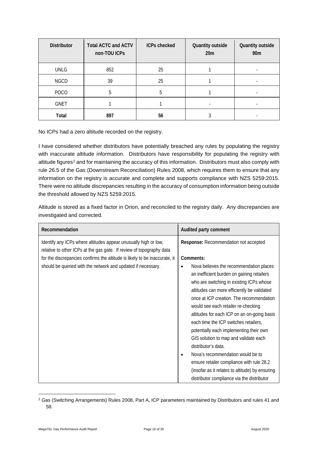| <b>Distributor</b> | <b>Total ACTC and ACTV</b><br>non-TOU ICPs | <b>ICPs checked</b> | Quantity outside<br>20m | Quantity outside<br>90 <sub>m</sub> |
|--------------------|--------------------------------------------|---------------------|-------------------------|-------------------------------------|
| <b>UNLG</b>        | 852                                        | 25                  |                         |                                     |
| <b>NGCD</b>        | 39                                         | 25                  |                         |                                     |
| <b>POCO</b>        | 5                                          | 5                   |                         |                                     |
| <b>GNET</b>        |                                            |                     |                         |                                     |
| Total              | 897                                        | 56                  |                         |                                     |

No ICPs had a zero altitude recorded on the registry.

I have considered whether distributors have potentially breached any rules by populating the registry with inaccurate altitude information. Distributors have responsibility for populating the registry with altitude figures<sup>[2](#page-15-0)</sup> and for maintaining the accuracy of this information. Distributors must also comply with rule 26.5 of the Gas (Downstream Reconciliation) Rules 2008, which requires them to ensure that any information on the registry is accurate and complete and supports compliance with NZS 5259:2015. There were no altitude discrepancies resulting in the accuracy of consumption information being outside the threshold allowed by NZS 5259:2015.

Altitude is stored as a fixed factor in Orion, and reconciled to the registry daily. Any discrepancies are investigated and corrected.

| Recommendation                                                                                                                                                                                                        | Audited party comment                                                                                                                                                                                                                                                                                                                                                                                                                                                                                                                                                                                                                                                  |
|-----------------------------------------------------------------------------------------------------------------------------------------------------------------------------------------------------------------------|------------------------------------------------------------------------------------------------------------------------------------------------------------------------------------------------------------------------------------------------------------------------------------------------------------------------------------------------------------------------------------------------------------------------------------------------------------------------------------------------------------------------------------------------------------------------------------------------------------------------------------------------------------------------|
| Identify any ICPs where altitudes appear unusually high or low,<br>relative to other ICPs at the gas gate. If review of topography data<br>for the discrepancies confirms the altitude is likely to be inaccurate, it | Response: Recommendation not accepted<br>Comments:                                                                                                                                                                                                                                                                                                                                                                                                                                                                                                                                                                                                                     |
| should be queried with the network and updated if necessary.                                                                                                                                                          | Nova believes the recommendation places<br>an inefficient burden on gaining retailers<br>who are switching in existing ICPs whose<br>altitudes can more efficiently be validated<br>once at ICP creation. The recommendation<br>would see each retailer re-checking<br>altitudes for each ICP on an on-going basis<br>each time the ICP switches retailers,<br>potentially each implementing their own<br>GIS solution to map and validate each<br>distributor's data.<br>Nova's recommendation would be to<br>$\bullet$<br>ensure retailer compliance with rule 28.2<br>(insofar as it relates to altitude) by ensuring<br>distributor compliance via the distributor |

<span id="page-15-0"></span><sup>2</sup> Gas (Switching Arrangements) Rules 2008, Part A, ICP parameters maintained by Distributors and rules 41 and 58.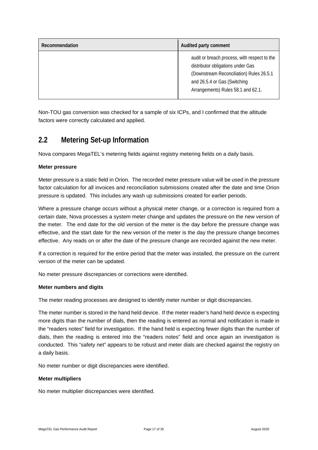| Recommendation | Audited party comment                                                                                                                                                                               |
|----------------|-----------------------------------------------------------------------------------------------------------------------------------------------------------------------------------------------------|
|                | audit or breach process, with respect to the<br>distributor obligations under Gas<br>(Downstream Reconciliation) Rules 26.5.1<br>and 26.5.4 or Gas (Switching<br>Arrangements) Rules 58.1 and 62.1. |

Non-TOU gas conversion was checked for a sample of six ICPs, and I confirmed that the altitude factors were correctly calculated and applied.

#### <span id="page-16-0"></span>**2.2 Metering Set-up Information**

Nova compares MegaTEL's metering fields against registry metering fields on a daily basis.

#### **Meter pressure**

Meter pressure is a static field in Orion. The recorded meter pressure value will be used in the pressure factor calculation for all invoices and reconciliation submissions created after the date and time Orion pressure is updated. This includes any wash up submissions created for earlier periods.

Where a pressure change occurs without a physical meter change, or a correction is required from a certain date, Nova processes a system meter change and updates the pressure on the new version of the meter. The end date for the old version of the meter is the day before the pressure change was effective, and the start date for the new version of the meter is the day the pressure change becomes effective. Any reads on or after the date of the pressure change are recorded against the new meter.

If a correction is required for the entire period that the meter was installed, the pressure on the current version of the meter can be updated.

No meter pressure discrepancies or corrections were identified.

#### **Meter numbers and digits**

The meter reading processes are designed to identify meter number or digit discrepancies.

The meter number is stored in the hand held device. If the meter reader's hand held device is expecting more digits than the number of dials, then the reading is entered as normal and notification is made in the "readers notes" field for investigation. If the hand held is expecting fewer digits than the number of dials, then the reading is entered into the "readers notes" field and once again an investigation is conducted. This "safety net" appears to be robust and meter dials are checked against the registry on a daily basis.

No meter number or digit discrepancies were identified.

#### **Meter multipliers**

No meter multiplier discrepancies were identified.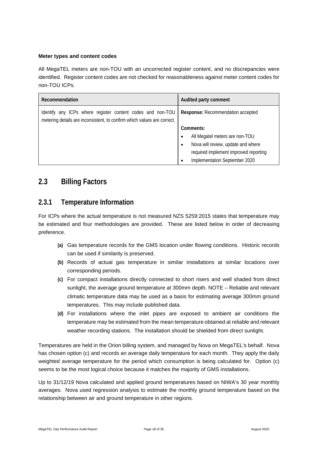#### **Meter types and content codes**

All MegaTEL meters are non-TOU with an uncorrected register content, and no discrepancies were identified. Register content codes are not checked for reasonableness against meter content codes for non-TOU ICPs.

| Recommendation                                                                                                                        | Audited party comment                           |
|---------------------------------------------------------------------------------------------------------------------------------------|-------------------------------------------------|
| Identify any ICPs where register content codes and non-TOU<br>metering details are inconsistent, to confirm which values are correct. | Response: Recommendation accepted               |
|                                                                                                                                       | Comments:                                       |
|                                                                                                                                       | All Megatel meters are non-TOU<br>$\bullet$     |
|                                                                                                                                       | Nova will review, update and where<br>$\bullet$ |
|                                                                                                                                       | required implement improved reporting           |
|                                                                                                                                       | Implementation September 2020<br>$\bullet$      |

#### <span id="page-17-0"></span>**2.3 Billing Factors**

#### <span id="page-17-1"></span>**2.3.1 Temperature Information**

For ICPs where the actual temperature is not measured NZS 5259:2015 states that temperature may be estimated and four methodologies are provided. These are listed below in order of decreasing preference.

- **(a)** Gas temperature records for the GMS location under flowing conditions. Historic records can be used if similarity is preserved.
- **(b)** Records of actual gas temperature in similar installations at similar locations over corresponding periods.
- **(c)** For compact installations directly connected to short risers and well shaded from direct sunlight, the average ground temperature at 300mm depth. NOTE – Reliable and relevant climatic temperature data may be used as a basis for estimating average 300mm ground temperatures. This may include published data.
- **(d)** For installations where the inlet pipes are exposed to ambient air conditions the temperature may be estimated from the mean temperature obtained at reliable and relevant weather recording stations. The installation should be shielded from direct sunlight.

Temperatures are held in the Orion billing system, and managed by Nova on MegaTEL's behalf. Nova has chosen option (c) and records an average daily temperature for each month. They apply the daily weighted average temperature for the period which consumption is being calculated for. Option (c) seems to be the most logical choice because it matches the majority of GMS installations.

Up to 31/12/19 Nova calculated and applied ground temperatures based on NIWA's 30 year monthly averages. Nova used regression analysis to estimate the monthly ground temperature based on the relationship between air and ground temperature in other regions.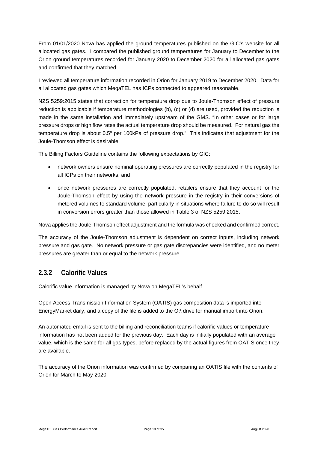From 01/01/2020 Nova has applied the ground temperatures published on the GIC's website for all allocated gas gates. I compared the published ground temperatures for January to December to the Orion ground temperatures recorded for January 2020 to December 2020 for all allocated gas gates and confirmed that they matched.

I reviewed all temperature information recorded in Orion for January 2019 to December 2020. Data for all allocated gas gates which MegaTEL has ICPs connected to appeared reasonable.

NZS 5259:2015 states that correction for temperature drop due to Joule-Thomson effect of pressure reduction is applicable if temperature methodologies (b), (c) or (d) are used, provided the reduction is made in the same installation and immediately upstream of the GMS. "In other cases or for large pressure drops or high flow rates the actual temperature drop should be measured. For natural gas the temperature drop is about 0.5º per 100kPa of pressure drop." This indicates that adjustment for the Joule-Thomson effect is desirable.

The Billing Factors Guideline contains the following expectations by GIC:

- network owners ensure nominal operating pressures are correctly populated in the registry for all ICPs on their networks, and
- once network pressures are correctly populated, retailers ensure that they account for the Joule-Thomson effect by using the network pressure in the registry in their conversions of metered volumes to standard volume, particularly in situations where failure to do so will result in conversion errors greater than those allowed in Table 3 of NZS 5259:2015.

Nova applies the Joule-Thomson effect adjustment and the formula was checked and confirmed correct.

The accuracy of the Joule-Thomson adjustment is dependent on correct inputs, including network pressure and gas gate. No network pressure or gas gate discrepancies were identified, and no meter pressures are greater than or equal to the network pressure.

#### <span id="page-18-0"></span>**2.3.2 Calorific Values**

Calorific value information is managed by Nova on MegaTEL's behalf.

Open Access Transmission Information System (OATIS) gas composition data is imported into EnergyMarket daily, and a copy of the file is added to the O:\ drive for manual import into Orion.

An automated email is sent to the billing and reconciliation teams if calorific values or temperature information has not been added for the previous day. Each day is initially populated with an average value, which is the same for all gas types, before replaced by the actual figures from OATIS once they are available.

The accuracy of the Orion information was confirmed by comparing an OATIS file with the contents of Orion for March to May 2020.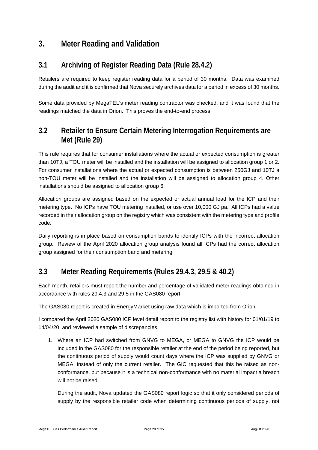### <span id="page-19-0"></span>**3. Meter Reading and Validation**

#### <span id="page-19-1"></span>**3.1 Archiving of Register Reading Data (Rule 28.4.2)**

Retailers are required to keep register reading data for a period of 30 months. Data was examined during the audit and it is confirmed that Nova securely archives data for a period in excess of 30 months.

Some data provided by MegaTEL's meter reading contractor was checked, and it was found that the readings matched the data in Orion. This proves the end-to-end process.

#### <span id="page-19-2"></span>**3.2 Retailer to Ensure Certain Metering Interrogation Requirements are Met (Rule 29)**

This rule requires that for consumer installations where the actual or expected consumption is greater than 10TJ, a TOU meter will be installed and the installation will be assigned to allocation group 1 or 2. For consumer installations where the actual or expected consumption is between 250GJ and 10TJ a non-TOU meter will be installed and the installation will be assigned to allocation group 4. Other installations should be assigned to allocation group 6.

Allocation groups are assigned based on the expected or actual annual load for the ICP and their metering type. No ICPs have TOU metering installed, or use over 10,000 GJ pa. All ICPs had a value recorded in their allocation group on the registry which was consistent with the metering type and profile code.

Daily reporting is in place based on consumption bands to identify ICPs with the incorrect allocation group. Review of the April 2020 allocation group analysis found all ICPs had the correct allocation group assigned for their consumption band and metering.

### <span id="page-19-3"></span>**3.3 Meter Reading Requirements (Rules 29.4.3, 29.5 & 40.2)**

Each month, retailers must report the number and percentage of validated meter readings obtained in accordance with rules 29.4.3 and 29.5 in the GAS080 report.

The GAS080 report is created in EnergyMarket using raw data which is imported from Orion.

I compared the April 2020 GAS080 ICP level detail report to the registry list with history for 01/01/19 to 14/04/20, and reviewed a sample of discrepancies.

1. Where an ICP had switched from GNVG to MEGA, or MEGA to GNVG the ICP would be included in the GAS080 for the responsible retailer at the end of the period being reported, but the continuous period of supply would count days where the ICP was supplied by GNVG or MEGA, instead of only the current retailer. The GIC requested that this be raised as nonconformance, but because it is a technical non-conformance with no material impact a breach will not be raised.

During the audit, Nova updated the GAS080 report logic so that it only considered periods of supply by the responsible retailer code when determining continuous periods of supply, not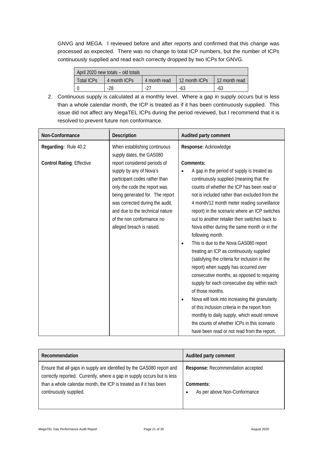GNVG and MEGA. I reviewed before and after reports and confirmed that this change was processed as expected. There was no change to total ICP numbers, but the number of ICPs continuously supplied and read each correctly dropped by two ICPs for GNVG.

| April 2020 new totals – old totals |              |              |               |               |
|------------------------------------|--------------|--------------|---------------|---------------|
| Total ICPs                         | 4 month ICPs | 4 month read | 12 month ICPs | 12 month read |
|                                    | -28          | $-27$        | -63           | -63           |

2. Continuous supply is calculated at a monthly level. Where a gap in supply occurs but is less than a whole calendar month, the ICP is treated as if it has been continuously supplied. This issue did not affect any MegaTEL ICPs during the period reviewed, but I recommend that it is resolved to prevent future non conformance.

| Non-Conformance                  | <b>Description</b>                                                                                                                                                                                                                                                                          | Audited party comment                                                                                                                                                                                                                                                                                                                                                                                                                                                                                                                                                                                                                                                                                                                                                                                                                                                                                                                                                   |
|----------------------------------|---------------------------------------------------------------------------------------------------------------------------------------------------------------------------------------------------------------------------------------------------------------------------------------------|-------------------------------------------------------------------------------------------------------------------------------------------------------------------------------------------------------------------------------------------------------------------------------------------------------------------------------------------------------------------------------------------------------------------------------------------------------------------------------------------------------------------------------------------------------------------------------------------------------------------------------------------------------------------------------------------------------------------------------------------------------------------------------------------------------------------------------------------------------------------------------------------------------------------------------------------------------------------------|
| Regarding: Rule 40.2             | When establishing continuous<br>supply dates, the GAS080                                                                                                                                                                                                                                    | Response: Acknowledge                                                                                                                                                                                                                                                                                                                                                                                                                                                                                                                                                                                                                                                                                                                                                                                                                                                                                                                                                   |
| <b>Control Rating: Effective</b> | report considered periods of<br>supply by any of Nova's<br>participant codes rather than<br>only the code the report was<br>being generated for. The report<br>was corrected during the audit,<br>and due to the technical nature<br>of the non conformance no<br>alleged breach is raised. | Comments:<br>A gap in the period of supply is treated as<br>continuously supplied (meaning that the<br>counts of whether the ICP has been read or<br>not is included rather than excluded from the<br>4 month/12 month meter reading surveillance<br>report) in the scenario where an ICP switches<br>out to another retailer then switches back to<br>Nova either during the same month or in the<br>following month.<br>This is due to the Nova GAS080 report<br>treating an ICP as continuously supplied<br>(satisfying the criteria for inclusion in the<br>report) when supply has occurred over<br>consecutive months, as opposed to requiring<br>supply for each consecutive day within each<br>of those months.<br>Nova will look into increasing the granularity<br>of this inclusion criteria in the report from<br>monthly to daily supply, which would remove<br>the counts of whether ICPs in this scenario<br>have been read or not read from the report. |

| Recommendation                                                                                                                                    | Audited party comment                     |
|---------------------------------------------------------------------------------------------------------------------------------------------------|-------------------------------------------|
| Ensure that all gaps in supply are identified by the GAS080 report and<br>correctly reported. Currently, where a gap in supply occurs but is less | Response: Recommendation accepted         |
| than a whole calendar month, the ICP is treated as if it has been<br>continuously supplied.                                                       | Comments:<br>As per above Non-Conformance |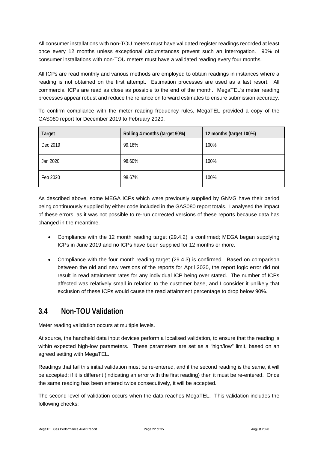All consumer installations with non-TOU meters must have validated register readings recorded at least once every 12 months unless exceptional circumstances prevent such an interrogation. 90% of consumer installations with non-TOU meters must have a validated reading every four months.

All ICPs are read monthly and various methods are employed to obtain readings in instances where a reading is not obtained on the first attempt. Estimation processes are used as a last resort. All commercial ICPs are read as close as possible to the end of the month. MegaTEL's meter reading processes appear robust and reduce the reliance on forward estimates to ensure submission accuracy.

To confirm compliance with the meter reading frequency rules, MegaTEL provided a copy of the GAS080 report for December 2019 to February 2020.

| <b>Target</b> | Rolling 4 months (target 90%) | 12 months (target 100%) |
|---------------|-------------------------------|-------------------------|
| Dec 2019      | 99.16%                        | 100%                    |
| Jan 2020      | 98.60%                        | 100%                    |
| Feb 2020      | 98.67%                        | 100%                    |

As described above, some MEGA ICPs which were previously supplied by GNVG have their period being continuously supplied by either code included in the GAS080 report totals. I analysed the impact of these errors, as it was not possible to re-run corrected versions of these reports because data has changed in the meantime.

- Compliance with the 12 month reading target (29.4.2) is confirmed; MEGA began supplying ICPs in June 2019 and no ICPs have been supplied for 12 months or more.
- Compliance with the four month reading target (29.4.3) is confirmed. Based on comparison between the old and new versions of the reports for April 2020, the report logic error did not result in read attainment rates for any individual ICP being over stated. The number of ICPs affected was relatively small in relation to the customer base, and I consider it unlikely that exclusion of these ICPs would cause the read attainment percentage to drop below 90%.

#### <span id="page-21-0"></span>**3.4 Non-TOU Validation**

Meter reading validation occurs at multiple levels.

At source, the handheld data input devices perform a localised validation, to ensure that the reading is within expected high-low parameters. These parameters are set as a "high/low" limit, based on an agreed setting with MegaTEL.

Readings that fail this initial validation must be re-entered, and if the second reading is the same, it will be accepted; if it is different (indicating an error with the first reading) then it must be re-entered. Once the same reading has been entered twice consecutively, it will be accepted.

The second level of validation occurs when the data reaches MegaTEL. This validation includes the following checks: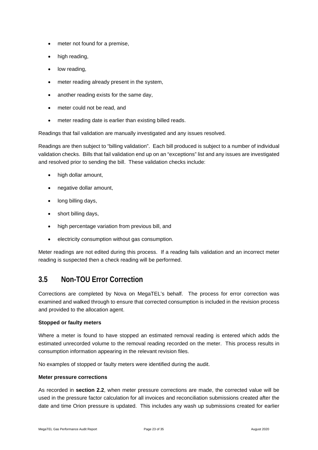- meter not found for a premise,
- high reading.
- low reading.
- meter reading already present in the system,
- another reading exists for the same day,
- meter could not be read, and
- meter reading date is earlier than existing billed reads.

Readings that fail validation are manually investigated and any issues resolved.

Readings are then subject to "billing validation". Each bill produced is subject to a number of individual validation checks. Bills that fail validation end up on an "exceptions" list and any issues are investigated and resolved prior to sending the bill. These validation checks include:

- high dollar amount,
- negative dollar amount,
- long billing days,
- short billing days,
- high percentage variation from previous bill, and
- electricity consumption without gas consumption.

Meter readings are not edited during this process. If a reading fails validation and an incorrect meter reading is suspected then a check reading will be performed.

#### <span id="page-22-0"></span>**3.5 Non-TOU Error Correction**

Corrections are completed by Nova on MegaTEL's behalf. The process for error correction was examined and walked through to ensure that corrected consumption is included in the revision process and provided to the allocation agent.

#### **Stopped or faulty meters**

Where a meter is found to have stopped an estimated removal reading is entered which adds the estimated unrecorded volume to the removal reading recorded on the meter. This process results in consumption information appearing in the relevant revision files.

No examples of stopped or faulty meters were identified during the audit.

#### **Meter pressure corrections**

As recorded in **section 2.2**, when meter pressure corrections are made, the corrected value will be used in the pressure factor calculation for all invoices and reconciliation submissions created after the date and time Orion pressure is updated. This includes any wash up submissions created for earlier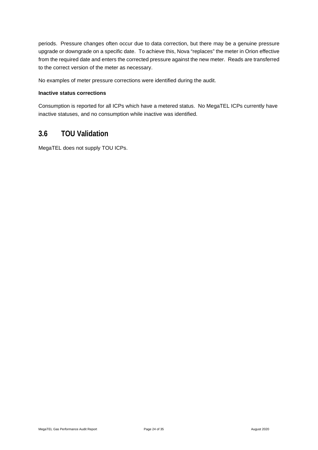periods. Pressure changes often occur due to data correction, but there may be a genuine pressure upgrade or downgrade on a specific date. To achieve this, Nova "replaces" the meter in Orion effective from the required date and enters the corrected pressure against the new meter. Reads are transferred to the correct version of the meter as necessary.

No examples of meter pressure corrections were identified during the audit.

#### **Inactive status corrections**

Consumption is reported for all ICPs which have a metered status. No MegaTEL ICPs currently have inactive statuses, and no consumption while inactive was identified.

#### <span id="page-23-0"></span>**3.6 TOU Validation**

MegaTEL does not supply TOU ICPs.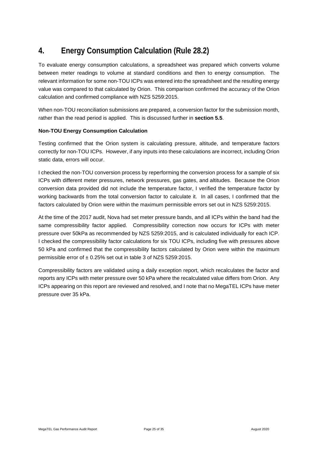# <span id="page-24-0"></span>**4. Energy Consumption Calculation (Rule 28.2)**

To evaluate energy consumption calculations, a spreadsheet was prepared which converts volume between meter readings to volume at standard conditions and then to energy consumption. The relevant information for some non-TOU ICPs was entered into the spreadsheet and the resulting energy value was compared to that calculated by Orion. This comparison confirmed the accuracy of the Orion calculation and confirmed compliance with NZS 5259:2015.

When non-TOU reconciliation submissions are prepared, a conversion factor for the submission month, rather than the read period is applied. This is discussed further in **section 5.5**.

#### **Non-TOU Energy Consumption Calculation**

Testing confirmed that the Orion system is calculating pressure, altitude, and temperature factors correctly for non-TOU ICPs. However, if any inputs into these calculations are incorrect, including Orion static data, errors will occur.

I checked the non-TOU conversion process by reperforming the conversion process for a sample of six ICPs with different meter pressures, network pressures, gas gates, and altitudes. Because the Orion conversion data provided did not include the temperature factor, I verified the temperature factor by working backwards from the total conversion factor to calculate it. In all cases, I confirmed that the factors calculated by Orion were within the maximum permissible errors set out in NZS 5259:2015.

At the time of the 2017 audit, Nova had set meter pressure bands, and all ICPs within the band had the same compressibility factor applied. Compressibility correction now occurs for ICPs with meter pressure over 50kPa as recommended by NZS 5259:2015, and is calculated individually for each ICP. I checked the compressibility factor calculations for six TOU ICPs, including five with pressures above 50 kPa and confirmed that the compressibility factors calculated by Orion were within the maximum permissible error of  $\pm$  0.25% set out in table 3 of NZS 5259:2015.

Compressibility factors are validated using a daily exception report, which recalculates the factor and reports any ICPs with meter pressure over 50 kPa where the recalculated value differs from Orion. Any ICPs appearing on this report are reviewed and resolved, and I note that no MegaTEL ICPs have meter pressure over 35 kPa.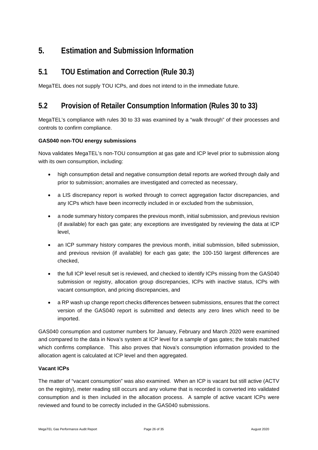### <span id="page-25-0"></span>**5. Estimation and Submission Information**

#### <span id="page-25-1"></span>**5.1 TOU Estimation and Correction (Rule 30.3)**

<span id="page-25-2"></span>MegaTEL does not supply TOU ICPs, and does not intend to in the immediate future.

#### **5.2 Provision of Retailer Consumption Information (Rules 30 to 33)**

MegaTEL's compliance with rules 30 to 33 was examined by a "walk through" of their processes and controls to confirm compliance.

#### **GAS040 non-TOU energy submissions**

Nova validates MegaTEL's non-TOU consumption at gas gate and ICP level prior to submission along with its own consumption, including:

- high consumption detail and negative consumption detail reports are worked through daily and prior to submission; anomalies are investigated and corrected as necessary,
- a LIS discrepancy report is worked through to correct aggregation factor discrepancies, and any ICPs which have been incorrectly included in or excluded from the submission,
- a node summary history compares the previous month, initial submission, and previous revision (if available) for each gas gate; any exceptions are investigated by reviewing the data at ICP level,
- an ICP summary history compares the previous month, initial submission, billed submission, and previous revision (if available) for each gas gate; the 100-150 largest differences are checked,
- the full ICP level result set is reviewed, and checked to identify ICPs missing from the GAS040 submission or registry, allocation group discrepancies, ICPs with inactive status, ICPs with vacant consumption, and pricing discrepancies, and
- a RP wash up change report checks differences between submissions, ensures that the correct version of the GAS040 report is submitted and detects any zero lines which need to be imported.

GAS040 consumption and customer numbers for January, February and March 2020 were examined and compared to the data in Nova's system at ICP level for a sample of gas gates; the totals matched which confirms compliance. This also proves that Nova's consumption information provided to the allocation agent is calculated at ICP level and then aggregated.

#### **Vacant ICPs**

The matter of "vacant consumption" was also examined. When an ICP is vacant but still active (ACTV on the registry), meter reading still occurs and any volume that is recorded is converted into validated consumption and is then included in the allocation process. A sample of active vacant ICPs were reviewed and found to be correctly included in the GAS040 submissions.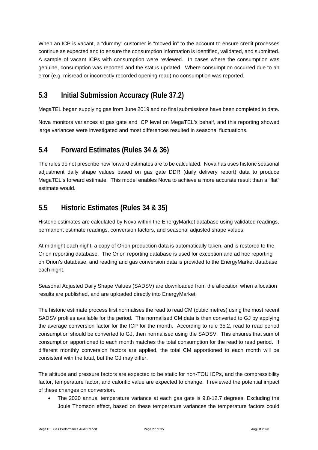When an ICP is vacant, a "dummy" customer is "moved in" to the account to ensure credit processes continue as expected and to ensure the consumption information is identified, validated, and submitted. A sample of vacant ICPs with consumption were reviewed. In cases where the consumption was genuine, consumption was reported and the status updated. Where consumption occurred due to an error (e.g. misread or incorrectly recorded opening read) no consumption was reported.

# <span id="page-26-0"></span>**5.3 Initial Submission Accuracy (Rule 37.2)**

MegaTEL began supplying gas from June 2019 and no final submissions have been completed to date.

Nova monitors variances at gas gate and ICP level on MegaTEL's behalf, and this reporting showed large variances were investigated and most differences resulted in seasonal fluctuations.

#### <span id="page-26-1"></span>**5.4 Forward Estimates (Rules 34 & 36)**

The rules do not prescribe how forward estimates are to be calculated. Nova has uses historic seasonal adjustment daily shape values based on gas gate DDR (daily delivery report) data to produce MegaTEL's forward estimate. This model enables Nova to achieve a more accurate result than a "flat" estimate would.

### <span id="page-26-2"></span>**5.5 Historic Estimates (Rules 34 & 35)**

Historic estimates are calculated by Nova within the EnergyMarket database using validated readings, permanent estimate readings, conversion factors, and seasonal adjusted shape values.

At midnight each night, a copy of Orion production data is automatically taken, and is restored to the Orion reporting database. The Orion reporting database is used for exception and ad hoc reporting on Orion's database, and reading and gas conversion data is provided to the EnergyMarket database each night.

Seasonal Adjusted Daily Shape Values (SADSV) are downloaded from the allocation when allocation results are published, and are uploaded directly into EnergyMarket.

The historic estimate process first normalises the read to read CM (cubic metres) using the most recent SADSV profiles available for the period. The normalised CM data is then converted to GJ by applying the average conversion factor for the ICP for the month. According to rule 35.2, read to read period consumption should be converted to GJ, then normalised using the SADSV. This ensures that sum of consumption apportioned to each month matches the total consumption for the read to read period. If different monthly conversion factors are applied, the total CM apportioned to each month will be consistent with the total, but the GJ may differ.

The altitude and pressure factors are expected to be static for non-TOU ICPs, and the compressibility factor, temperature factor, and calorific value are expected to change. I reviewed the potential impact of these changes on conversion.

• The 2020 annual temperature variance at each gas gate is 9.8-12.7 degrees. Excluding the Joule Thomson effect, based on these temperature variances the temperature factors could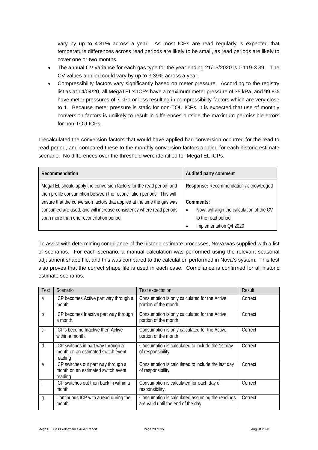vary by up to 4.31% across a year. As most ICPs are read regularly is expected that temperature differences across read periods are likely to be small, as read periods are likely to cover one or two months.

- The annual CV variance for each gas type for the year ending 21/05/2020 is 0.119-3.39. The CV values applied could vary by up to 3.39% across a year.
- Compressibility factors vary significantly based on meter pressure. According to the registry list as at 14/04/20, all MegaTEL's ICPs have a maximum meter pressure of 35 kPa, and 99.8% have meter pressures of 7 kPa or less resulting in compressibility factors which are very close to 1. Because meter pressure is static for non-TOU ICPs, it is expected that use of monthly conversion factors is unlikely to result in differences outside the maximum permissible errors for non-TOU ICPs.

I recalculated the conversion factors that would have applied had conversion occurred for the read to read period, and compared these to the monthly conversion factors applied for each historic estimate scenario. No differences over the threshold were identified for MegaTEL ICPs.

| Recommendation                                                                                                                                    | Audited party comment                                  |
|---------------------------------------------------------------------------------------------------------------------------------------------------|--------------------------------------------------------|
| MegaTEL should apply the conversion factors for the read period, and                                                                              | Response: Recommendation acknowledged                  |
| then profile consumption between the reconciliation periods. This will<br>ensure that the conversion factors that applied at the time the gas was | Comments:                                              |
| consumed are used, and will increase consistency where read periods                                                                               | Nova will align the calculation of the CV<br>$\bullet$ |
| span more than one reconciliation period.                                                                                                         | to the read period                                     |
|                                                                                                                                                   | Implementation Q4 2020                                 |

To assist with determining compliance of the historic estimate processes, Nova was supplied with a list of scenarios. For each scenario, a manual calculation was performed using the relevant seasonal adjustment shape file, and this was compared to the calculation performed in Nova's system. This test also proves that the correct shape file is used in each case. Compliance is confirmed for all historic estimate scenarios.

| Test | Scenario                                                                              | Test expectation                                                                      | Result  |
|------|---------------------------------------------------------------------------------------|---------------------------------------------------------------------------------------|---------|
| a    | ICP becomes Active part way through a<br>month                                        | Consumption is only calculated for the Active<br>portion of the month.                | Correct |
| b    | ICP becomes Inactive part way through<br>a month.                                     | Consumption is only calculated for the Active<br>portion of the month.                | Correct |
| C    | ICP's become Inactive then Active<br>within a month.                                  | Consumption is only calculated for the Active<br>portion of the month.                | Correct |
| d    | ICP switches in part way through a<br>month on an estimated switch event<br>reading   | Consumption is calculated to include the 1st day<br>of responsibility.                | Correct |
| e    | ICP switches out part way through a<br>month on an estimated switch event<br>reading. | Consumption is calculated to include the last day<br>of responsibility.               | Correct |
|      | ICP switches out then back in within a<br>month                                       | Consumption is calculated for each day of<br>responsibility.                          | Correct |
| g    | Continuous ICP with a read during the<br>month                                        | Consumption is calculated assuming the readings<br>are valid until the end of the day | Correct |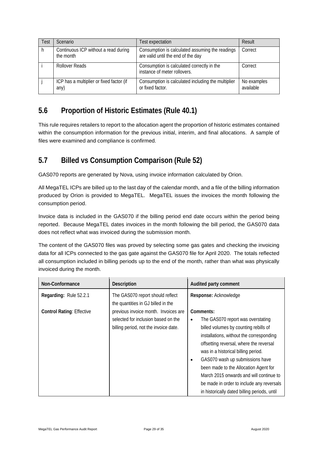| Test | <b>Scenario</b>                                   | Test expectation                                                                      | Result                   |
|------|---------------------------------------------------|---------------------------------------------------------------------------------------|--------------------------|
|      | Continuous ICP without a read during<br>the month | Consumption is calculated assuming the readings<br>are valid until the end of the day | Correct                  |
|      | Rollover Reads                                    | Consumption is calculated correctly in the<br>instance of meter rollovers.            | Correct                  |
|      | ICP has a multiplier or fixed factor (if<br>any)  | Consumption is calculated including the multiplier<br>or fixed factor.                | No examples<br>available |

### <span id="page-28-0"></span>**5.6 Proportion of Historic Estimates (Rule 40.1)**

This rule requires retailers to report to the allocation agent the proportion of historic estimates contained within the consumption information for the previous initial, interim, and final allocations. A sample of files were examined and compliance is confirmed.

### <span id="page-28-1"></span>**5.7 Billed vs Consumption Comparison (Rule 52)**

GAS070 reports are generated by Nova, using invoice information calculated by Orion.

All MegaTEL ICPs are billed up to the last day of the calendar month, and a file of the billing information produced by Orion is provided to MegaTEL. MegaTEL issues the invoices the month following the consumption period.

Invoice data is included in the GAS070 if the billing period end date occurs within the period being reported. Because MegaTEL dates invoices in the month following the bill period, the GAS070 data does not reflect what was invoiced during the submission month.

The content of the GAS070 files was proved by selecting some gas gates and checking the invoicing data for all ICPs connected to the gas gate against the GAS070 file for April 2020. The totals reflected all consumption included in billing periods up to the end of the month, rather than what was physically invoiced during the month.

| Non-Conformance                  | Description                                                                                                          | Audited party comment                                                                                                                                                                                                                                                                                                                                                                                                                          |
|----------------------------------|----------------------------------------------------------------------------------------------------------------------|------------------------------------------------------------------------------------------------------------------------------------------------------------------------------------------------------------------------------------------------------------------------------------------------------------------------------------------------------------------------------------------------------------------------------------------------|
| Regarding: Rule 52.2.1           | The GAS070 report should reflect<br>the quantities in GJ billed in the                                               | Response: Acknowledge                                                                                                                                                                                                                                                                                                                                                                                                                          |
| <b>Control Rating: Effective</b> | previous invoice month. Invoices are<br>selected for inclusion based on the<br>billing period, not the invoice date. | Comments:<br>The GAS070 report was overstating<br>٠<br>billed volumes by counting rebills of<br>installations, without the corresponding<br>offsetting reversal, where the reversal<br>was in a historical billing period.<br>GAS070 wash up submissions have<br>been made to the Allocation Agent for<br>March 2015 onwards and will continue to<br>be made in order to include any reversals<br>in historically dated billing periods, until |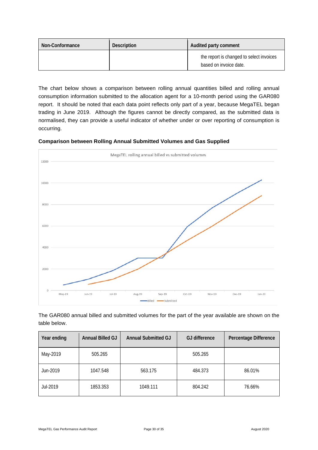| Non-Conformance | <b>Description</b> | Audited party comment                                              |
|-----------------|--------------------|--------------------------------------------------------------------|
|                 |                    | the report is changed to select invoices<br>based on invoice date. |

The chart below shows a comparison between rolling annual quantities billed and rolling annual consumption information submitted to the allocation agent for a 10-month period using the GAR080 report. It should be noted that each data point reflects only part of a year, because MegaTEL began trading in June 2019. Although the figures cannot be directly compared, as the submitted data is normalised, they can provide a useful indicator of whether under or over reporting of consumption is occurring.





The GAR080 annual billed and submitted volumes for the part of the year available are shown on the table below.

| Year ending | Annual Billed GJ | <b>Annual Submitted GJ</b> | <b>GJ</b> difference | Percentage Difference |
|-------------|------------------|----------------------------|----------------------|-----------------------|
| May-2019    | 505.265          |                            | 505.265              |                       |
| Jun-2019    | 1047.548         | 563.175                    | 484.373              | 86.01%                |
| Jul-2019    | 1853.353         | 1049.111                   | 804.242              | 76.66%                |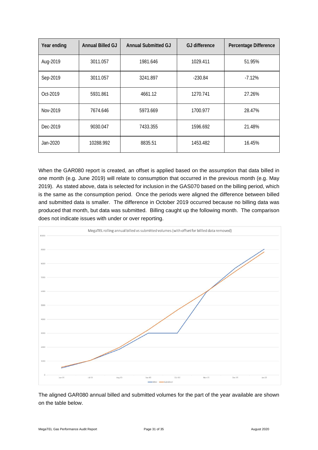| Year ending | <b>Annual Billed GJ</b> | <b>Annual Submitted GJ</b> | <b>GJ</b> difference | Percentage Difference |
|-------------|-------------------------|----------------------------|----------------------|-----------------------|
| Aug-2019    | 3011.057                | 1981.646                   | 1029.411             | 51.95%                |
| Sep-2019    | 3011.057                | 3241.897                   | $-230.84$            | $-7.12%$              |
| Oct-2019    | 5931.861                | 4661.12                    | 1270.741             | 27.26%                |
| Nov-2019    | 7674.646                | 5973.669                   | 1700.977             | 28.47%                |
| Dec-2019    | 9030.047                | 7433.355                   | 1596.692             | 21.48%                |
| Jan-2020    | 10288.992               | 8835.51                    | 1453.482             | 16.45%                |

When the GAR080 report is created, an offset is applied based on the assumption that data billed in one month (e.g. June 2019) will relate to consumption that occurred in the previous month (e.g. May 2019). As stated above, data is selected for inclusion in the GAS070 based on the billing period, which is the same as the consumption period. Once the periods were aligned the difference between billed and submitted data is smaller. The difference in October 2019 occurred because no billing data was produced that month, but data was submitted. Billing caught up the following month. The comparison does not indicate issues with under or over reporting.



The aligned GAR080 annual billed and submitted volumes for the part of the year available are shown on the table below.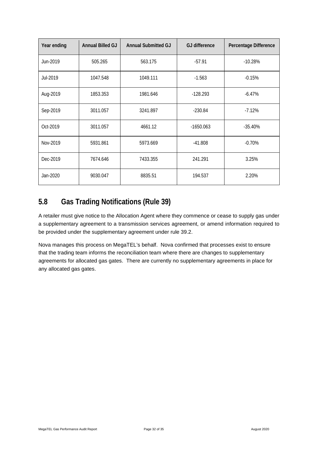| Year ending | Annual Billed GJ | <b>Annual Submitted GJ</b> | <b>GJ</b> difference | Percentage Difference |
|-------------|------------------|----------------------------|----------------------|-----------------------|
| Jun-2019    | 505.265          | 563.175                    | $-57.91$             | $-10.28%$             |
| Jul-2019    | 1047.548         | 1049.111                   | $-1.563$             | $-0.15%$              |
| Aug-2019    | 1853.353         | 1981.646                   | $-128.293$           | $-6.47%$              |
| Sep-2019    | 3011.057         | 3241.897                   | $-230.84$            | $-7.12%$              |
| Oct-2019    | 3011.057         | 4661.12                    | $-1650.063$          | $-35.40%$             |
| Nov-2019    | 5931.861         | 5973.669                   | $-41.808$            | $-0.70%$              |
| Dec-2019    | 7674.646         | 7433.355                   | 241.291              | 3.25%                 |
| Jan-2020    | 9030.047         | 8835.51                    | 194.537              | 2.20%                 |

# <span id="page-31-0"></span>**5.8 Gas Trading Notifications (Rule 39)**

A retailer must give notice to the Allocation Agent where they commence or cease to supply gas under a supplementary agreement to a transmission services agreement, or amend information required to be provided under the supplementary agreement under rule 39.2.

Nova manages this process on MegaTEL's behalf. Nova confirmed that processes exist to ensure that the trading team informs the reconciliation team where there are changes to supplementary agreements for allocated gas gates. There are currently no supplementary agreements in place for any allocated gas gates.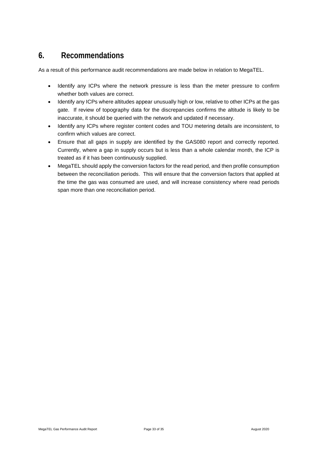### <span id="page-32-0"></span>**6. Recommendations**

As a result of this performance audit recommendations are made below in relation to MegaTEL.

- Identify any ICPs where the network pressure is less than the meter pressure to confirm whether both values are correct.
- Identify any ICPs where altitudes appear unusually high or low, relative to other ICPs at the gas gate. If review of topography data for the discrepancies confirms the altitude is likely to be inaccurate, it should be queried with the network and updated if necessary.
- Identify any ICPs where register content codes and TOU metering details are inconsistent, to confirm which values are correct.
- Ensure that all gaps in supply are identified by the GAS080 report and correctly reported. Currently, where a gap in supply occurs but is less than a whole calendar month, the ICP is treated as if it has been continuously supplied.
- MegaTEL should apply the conversion factors for the read period, and then profile consumption between the reconciliation periods. This will ensure that the conversion factors that applied at the time the gas was consumed are used, and will increase consistency where read periods span more than one reconciliation period.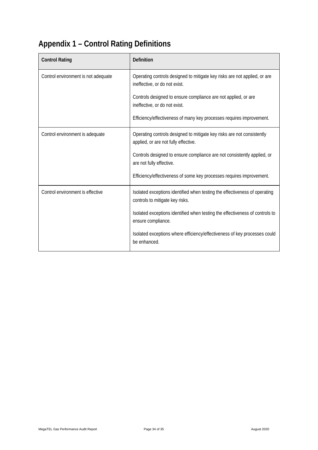# <span id="page-33-0"></span>**Appendix 1 – Control Rating Definitions**

| <b>Control Rating</b>               | <b>Definition</b>                                                                                              |
|-------------------------------------|----------------------------------------------------------------------------------------------------------------|
| Control environment is not adequate | Operating controls designed to mitigate key risks are not applied, or are<br>ineffective, or do not exist.     |
|                                     | Controls designed to ensure compliance are not applied, or are<br>ineffective, or do not exist.                |
|                                     | Efficiency/effectiveness of many key processes requires improvement.                                           |
| Control environment is adequate     | Operating controls designed to mitigate key risks are not consistently<br>applied, or are not fully effective. |
|                                     | Controls designed to ensure compliance are not consistently applied, or<br>are not fully effective.            |
|                                     | Efficiency/effectiveness of some key processes requires improvement.                                           |
| Control environment is effective    | Isolated exceptions identified when testing the effectiveness of operating<br>controls to mitigate key risks.  |
|                                     | Isolated exceptions identified when testing the effectiveness of controls to<br>ensure compliance.             |
|                                     | Isolated exceptions where efficiency/effectiveness of key processes could<br>be enhanced.                      |